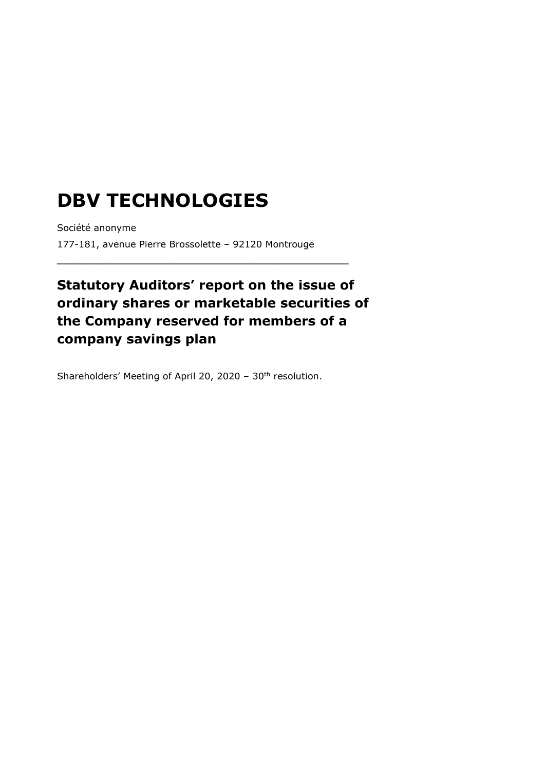## **DBV TECHNOLOGIES**

Société anonyme 177-181, avenue Pierre Brossolette – 92120 Montrouge

**\_\_\_\_\_\_\_\_\_\_\_\_\_\_\_\_\_\_\_\_\_\_\_\_\_\_\_\_\_\_\_\_**

## **Statutory Auditors' report on the issue of ordinary shares or marketable securities of the Company reserved for members of a company savings plan**

Shareholders' Meeting of April 20, 2020 - 30<sup>th</sup> resolution.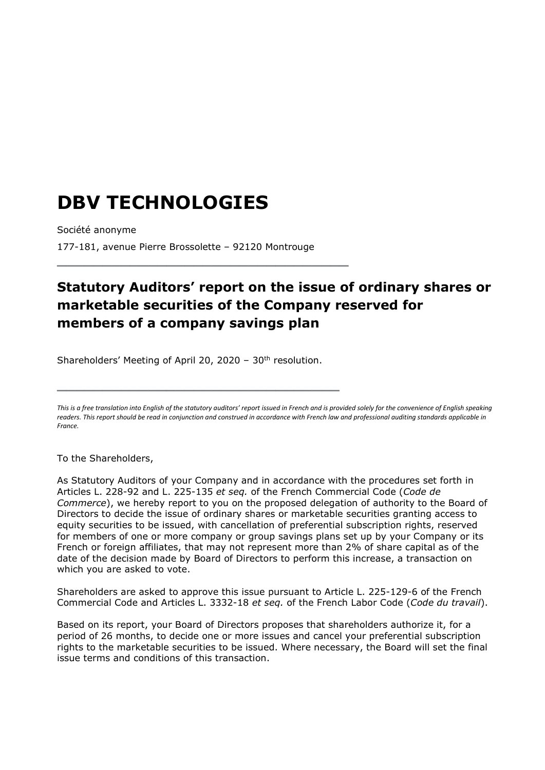## **DBV TECHNOLOGIES**

Société anonyme

177-181, avenue Pierre Brossolette – 92120 Montrouge

**\_\_\_\_\_\_\_\_\_\_\_\_\_\_\_\_\_\_\_\_\_\_\_\_\_\_\_\_\_\_\_\_**

## **Statutory Auditors' report on the issue of ordinary shares or marketable securities of the Company reserved for members of a company savings plan**

Shareholders' Meeting of April 20, 2020 - 30<sup>th</sup> resolution.

**\_\_\_\_\_\_\_\_\_\_\_\_\_\_\_\_\_\_\_\_\_\_\_\_\_\_\_\_\_\_\_**

To the Shareholders,

As Statutory Auditors of your Company and in accordance with the procedures set forth in Articles L. 228-92 and L. 225-135 *et seq.* of the French Commercial Code (*Code de Commerce*), we hereby report to you on the proposed delegation of authority to the Board of Directors to decide the issue of ordinary shares or marketable securities granting access to equity securities to be issued, with cancellation of preferential subscription rights, reserved for members of one or more company or group savings plans set up by your Company or its French or foreign affiliates, that may not represent more than 2% of share capital as of the date of the decision made by Board of Directors to perform this increase, a transaction on which you are asked to vote.

Shareholders are asked to approve this issue pursuant to Article L. 225-129-6 of the French Commercial Code and Articles L. 3332-18 *et seq.* of the French Labor Code (*Code du travail*).

Based on its report, your Board of Directors proposes that shareholders authorize it, for a period of 26 months, to decide one or more issues and cancel your preferential subscription rights to the marketable securities to be issued. Where necessary, the Board will set the final issue terms and conditions of this transaction.

This is a free translation into English of the statutory auditors' report issued in French and is provided solely for the convenience of English speaking *readers. This report should be read in conjunction and construed in accordance with French law and professional auditing standards applicable in France.*